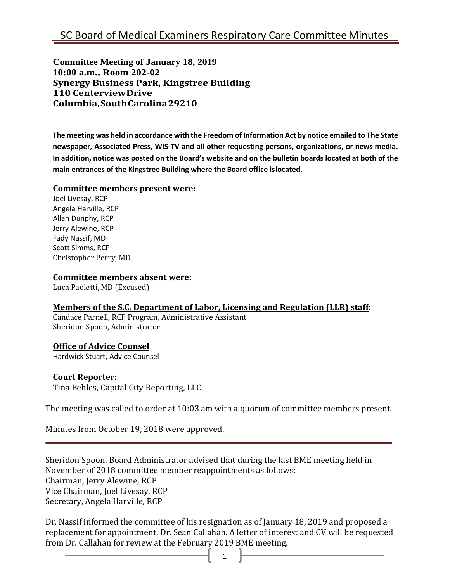**Committee Meeting of January 18, 2019 10:00 a.m., Room 202-02 Synergy Business Park, Kingstree Building 110 CenterviewDrive Columbia,SouthCarolina29210**

**The meeting was held in accordance with the Freedom of Information Act by notice emailed to The State newspaper, Associated Press, WIS-TV and all other requesting persons, organizations, or news media. In addition, notice was posted on the Board's website and on the bulletin boards located at both of the main entrances of the Kingstree Building where the Board office islocated.**

#### **Committee members present were:**

Joel Livesay, RCP Angela Harville, RCP Allan Dunphy, RCP Jerry Alewine, RCP Fady Nassif, MD Scott Simms, RCP Christopher Perry, MD

#### **Committee members absent were:**

Luca Paoletti, MD (Excused)

#### **Members of the S.C. Department of Labor, Licensing and Regulation (LLR) staff:**

Candace Parnell, RCP Program, Administrative Assistant Sheridon Spoon, Administrator

## **Office of Advice Counsel**

Hardwick Stuart, Advice Counsel

#### **Court Reporter:**

Tina Behles, Capital City Reporting, LLC.

The meeting was called to order at 10:03 am with a quorum of committee members present.

Minutes from October 19, 2018 were approved.

Sheridon Spoon, Board Administrator advised that during the last BME meeting held in November of 2018 committee member reappointments as follows: Chairman, Jerry Alewine, RCP Vice Chairman, Joel Livesay, RCP Secretary, Angela Harville, RCP

Dr. Nassif informed the committee of his resignation as of January 18, 2019 and proposed a replacement for appointment, Dr. Sean Callahan. A letter of interest and CV will be requested from Dr. Callahan for review at the February 2019 BME meeting.

1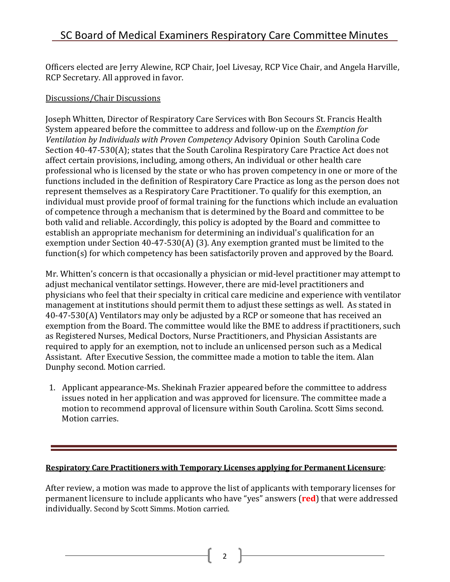# SC Board of Medical Examiners Respiratory Care Committee Minutes

Officers elected are Jerry Alewine, RCP Chair, Joel Livesay, RCP Vice Chair, and Angela Harville, RCP Secretary. All approved in favor.

## Discussions/Chair Discussions

Joseph Whitten, Director of Respiratory Care Services with Bon Secours St. Francis Health System appeared before the committee to address and follow-up on the *Exemption for Ventilation by Individuals with Proven Competency* Advisory Opinion South Carolina Code Section 40-47-530(A); states that the South Carolina Respiratory Care Practice Act does not affect certain provisions, including, among others, An individual or other health care professional who is licensed by the state or who has proven competency in one or more of the functions included in the definition of Respiratory Care Practice as long as the person does not represent themselves as a Respiratory Care Practitioner. To qualify for this exemption, an individual must provide proof of formal training for the functions which include an evaluation of competence through a mechanism that is determined by the Board and committee to be both valid and reliable. Accordingly, this policy is adopted by the Board and committee to establish an appropriate mechanism for determining an individual's qualification for an exemption under Section 40-47-530(A) (3). Any exemption granted must be limited to the function(s) for which competency has been satisfactorily proven and approved by the Board.

Mr. Whitten's concern is that occasionally a physician or mid-level practitioner may attempt to adjust mechanical ventilator settings. However, there are mid-level practitioners and physicians who feel that their specialty in critical care medicine and experience with ventilator management at institutions should permit them to adjust these settings as well. As stated in 40-47-530(A) Ventilators may only be adjusted by a RCP or someone that has received an exemption from the Board. The committee would like the BME to address if practitioners, such as Registered Nurses, Medical Doctors, Nurse Practitioners, and Physician Assistants are required to apply for an exemption, not to include an unlicensed person such as a Medical Assistant. After Executive Session, the committee made a motion to table the item. Alan Dunphy second. Motion carried.

1. Applicant appearance-Ms. Shekinah Frazier appeared before the committee to address issues noted in her application and was approved for licensure. The committee made a motion to recommend approval of licensure within South Carolina. Scott Sims second. Motion carries.

#### **Respiratory Care Practitioners with Temporary Licenses applying for Permanent Licensure**:

After review, a motion was made to approve the list of applicants with temporary licenses for permanent licensure to include applicants who have "yes" answers (**red**) that were addressed individually. Second by Scott Simms. Motion carried.

2  $\parallel$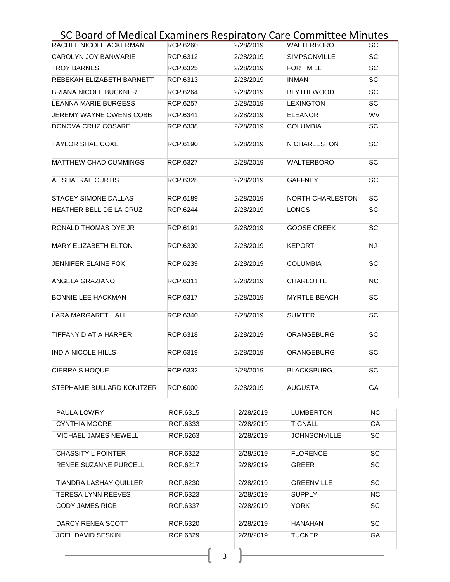# SC Board of Medical Examiners Respiratory Care Committee Minutes

| RACHEL NICOLE ACKERMAN       | RCP.6260 | 2/28/2019 | <b>WALTERBORO</b>       | SC        |
|------------------------------|----------|-----------|-------------------------|-----------|
| CAROLYN JOY BANWARIE         | RCP.6312 | 2/28/2019 | <b>SIMPSONVILLE</b>     | SC        |
| <b>TROY BARNES</b>           | RCP.6325 | 2/28/2019 | <b>FORT MILL</b>        | <b>SC</b> |
| REBEKAH ELIZABETH BARNETT    | RCP.6313 | 2/28/2019 | INMAN                   | <b>SC</b> |
| <b>BRIANA NICOLE BUCKNER</b> | RCP.6264 | 2/28/2019 | <b>BLYTHEWOOD</b>       | <b>SC</b> |
| <b>LEANNA MARIE BURGESS</b>  | RCP.6257 | 2/28/2019 | <b>LEXINGTON</b>        | SС        |
| JEREMY WAYNE OWENS COBB      | RCP.6341 | 2/28/2019 | <b>ELEANOR</b>          | WV        |
| DONOVA CRUZ COSARE           | RCP.6338 | 2/28/2019 | <b>COLUMBIA</b>         | SС        |
| <b>TAYLOR SHAE COXE</b>      | RCP.6190 | 2/28/2019 | N CHARLESTON            | <b>SC</b> |
| <b>MATTHEW CHAD CUMMINGS</b> | RCP.6327 | 2/28/2019 | WALTERBORO              | SC        |
| ALISHA RAE CURTIS            | RCP.6328 | 2/28/2019 | <b>GAFFNEY</b>          | <b>SC</b> |
| <b>STACEY SIMONE DALLAS</b>  | RCP.6189 | 2/28/2019 | <b>NORTH CHARLESTON</b> | <b>SC</b> |
| HEATHER BELL DE LA CRUZ      | RCP.6244 | 2/28/2019 | LONGS                   | <b>SC</b> |
| RONALD THOMAS DYE JR         | RCP.6191 | 2/28/2019 | <b>GOOSE CREEK</b>      | <b>SC</b> |
| <b>MARY ELIZABETH ELTON</b>  | RCP.6330 | 2/28/2019 | <b>KEPORT</b>           | <b>NJ</b> |
| JENNIFER ELAINE FOX          | RCP.6239 | 2/28/2019 | <b>COLUMBIA</b>         | SC        |
| ANGELA GRAZIANO              | RCP.6311 | 2/28/2019 | <b>CHARLOTTE</b>        | ΝC        |
| <b>BONNIE LEE HACKMAN</b>    | RCP.6317 | 2/28/2019 | <b>MYRTLE BEACH</b>     | SC        |
| <b>LARA MARGARET HALL</b>    | RCP.6340 | 2/28/2019 | <b>SUMTER</b>           | <b>SC</b> |
| TIFFANY DIATIA HARPER        | RCP.6318 | 2/28/2019 | <b>ORANGEBURG</b>       | SC        |
| <b>INDIA NICOLE HILLS</b>    | RCP.6319 | 2/28/2019 | <b>ORANGEBURG</b>       | <b>SC</b> |
| <b>CIERRA S HOQUE</b>        | RCP.6332 | 2/28/2019 | <b>BLACKSBURG</b>       | <b>SC</b> |
| STEPHANIE BULLARD KONITZER   | RCP.6000 | 2/28/2019 | <b>AUGUSTA</b>          | GA        |

| <b>PAULA LOWRY</b>        | RCP.6315 | 2/28/2019 | <b>LUMBERTON</b>    | <b>NC</b> |
|---------------------------|----------|-----------|---------------------|-----------|
| <b>CYNTHIA MOORE</b>      | RCP.6333 | 2/28/2019 | TIGNALL             | GA        |
| MICHAEL JAMES NEWELL      | RCP.6263 | 2/28/2019 | <b>JOHNSONVILLE</b> | <b>SC</b> |
| <b>CHASSITY L POINTER</b> | RCP.6322 | 2/28/2019 | <b>FLORENCE</b>     | SC        |
| RENEE SUZANNE PURCELL     | RCP.6217 | 2/28/2019 | <b>GREER</b>        | <b>SC</b> |
| TIANDRA LASHAY QUILLER    | RCP.6230 | 2/28/2019 | <b>GREENVILLE</b>   | SC        |
| TERESA LYNN REEVES        | RCP.6323 | 2/28/2019 | <b>SUPPLY</b>       | <b>NC</b> |
| <b>CODY JAMES RICE</b>    | RCP.6337 | 2/28/2019 | <b>YORK</b>         | SC        |
| DARCY RENEA SCOTT         | RCP.6320 | 2/28/2019 | HANAHAN             | SC        |
| JOEL DAVID SESKIN         | RCP.6329 | 2/28/2019 | <b>TUCKER</b>       | GA        |